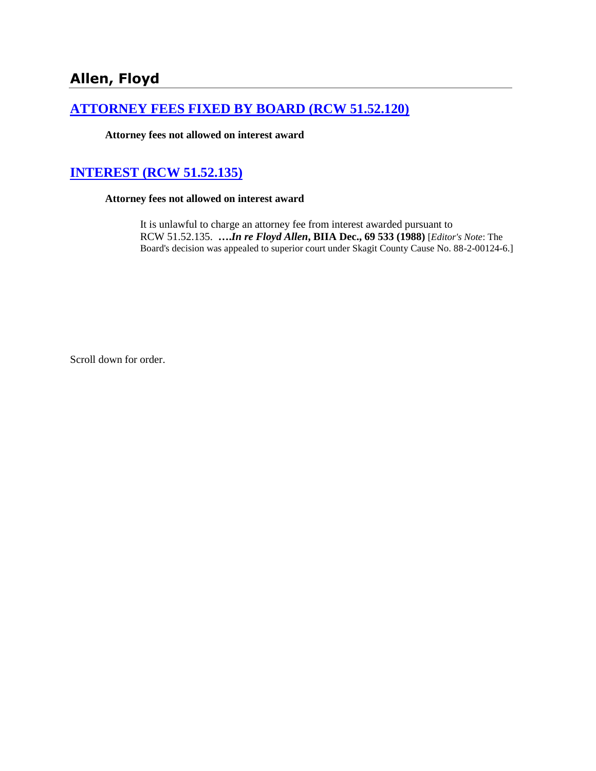## **[ATTORNEY FEES FIXED BY BOARD \(RCW 51.52.120\)](http://www.biia.wa.gov/SDSubjectIndex.html#ATTORNEY_FEES_FIXED_BY_BOARD)**

**Attorney fees not allowed on interest award**

# **[INTEREST \(RCW 51.52.135\)](http://www.biia.wa.gov/SDSubjectIndex.html#INTEREST)**

**Attorney fees not allowed on interest award**

It is unlawful to charge an attorney fee from interest awarded pursuant to RCW 51.52.135. **….***In re Floyd Allen***, BIIA Dec., 69 533 (1988)** [*Editor's Note*: The Board's decision was appealed to superior court under Skagit County Cause No. 88-2-00124-6.]

Scroll down for order.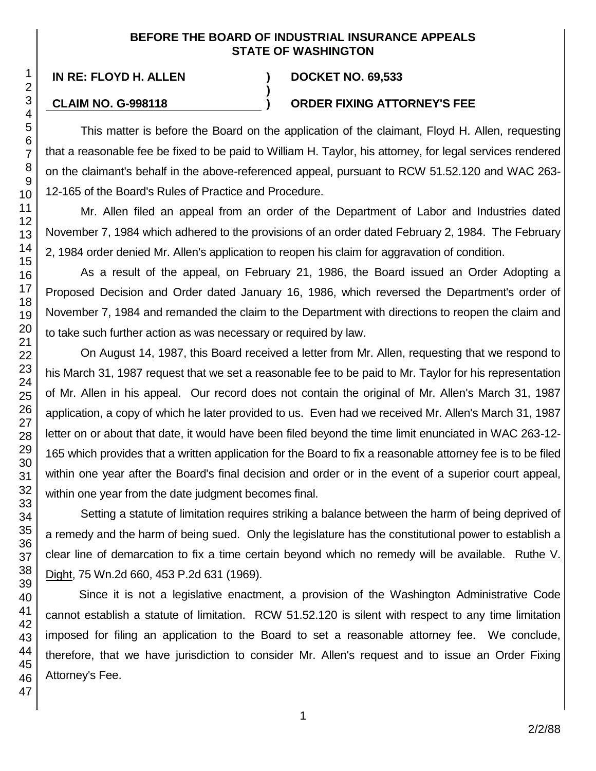### **BEFORE THE BOARD OF INDUSTRIAL INSURANCE APPEALS STATE OF WASHINGTON**

**)**

### **IN RE: FLOYD H. ALLEN ) DOCKET NO. 69,533**

### **CLAIM NO. G-998118 ) ORDER FIXING ATTORNEY'S FEE**

This matter is before the Board on the application of the claimant, Floyd H. Allen, requesting that a reasonable fee be fixed to be paid to William H. Taylor, his attorney, for legal services rendered on the claimant's behalf in the above-referenced appeal, pursuant to RCW 51.52.120 and WAC 263- 12-165 of the Board's Rules of Practice and Procedure.

Mr. Allen filed an appeal from an order of the Department of Labor and Industries dated November 7, 1984 which adhered to the provisions of an order dated February 2, 1984. The February 2, 1984 order denied Mr. Allen's application to reopen his claim for aggravation of condition.

As a result of the appeal, on February 21, 1986, the Board issued an Order Adopting a Proposed Decision and Order dated January 16, 1986, which reversed the Department's order of November 7, 1984 and remanded the claim to the Department with directions to reopen the claim and to take such further action as was necessary or required by law.

On August 14, 1987, this Board received a letter from Mr. Allen, requesting that we respond to his March 31, 1987 request that we set a reasonable fee to be paid to Mr. Taylor for his representation of Mr. Allen in his appeal. Our record does not contain the original of Mr. Allen's March 31, 1987 application, a copy of which he later provided to us. Even had we received Mr. Allen's March 31, 1987 letter on or about that date, it would have been filed beyond the time limit enunciated in WAC 263-12- 165 which provides that a written application for the Board to fix a reasonable attorney fee is to be filed within one year after the Board's final decision and order or in the event of a superior court appeal, within one year from the date judgment becomes final.

Setting a statute of limitation requires striking a balance between the harm of being deprived of a remedy and the harm of being sued. Only the legislature has the constitutional power to establish a clear line of demarcation to fix a time certain beyond which no remedy will be available. Ruthe V. Dight, 75 Wn.2d 660, 453 P.2d 631 (1969).

Since it is not a legislative enactment, a provision of the Washington Administrative Code cannot establish a statute of limitation. RCW 51.52.120 is silent with respect to any time limitation imposed for filing an application to the Board to set a reasonable attorney fee. We conclude, therefore, that we have jurisdiction to consider Mr. Allen's request and to issue an Order Fixing Attorney's Fee.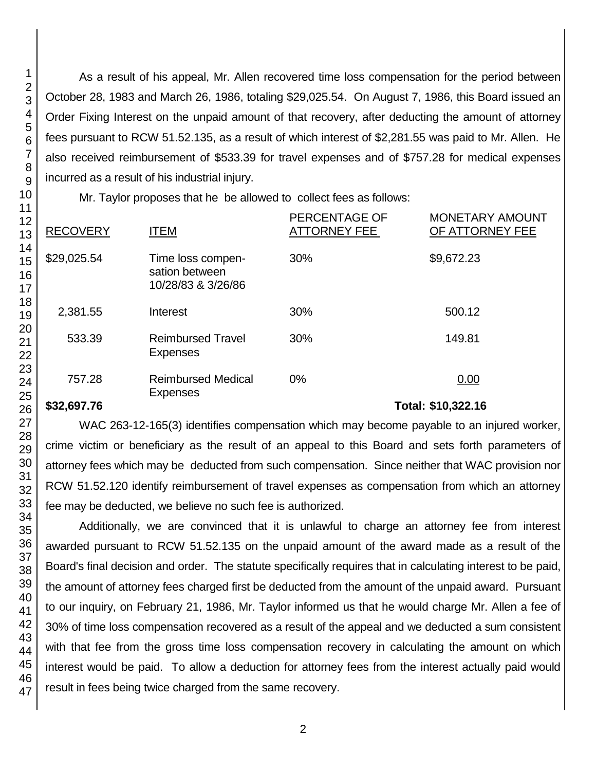As a result of his appeal, Mr. Allen recovered time loss compensation for the period between October 28, 1983 and March 26, 1986, totaling \$29,025.54. On August 7, 1986, this Board issued an Order Fixing Interest on the unpaid amount of that recovery, after deducting the amount of attorney fees pursuant to RCW 51.52.135, as a result of which interest of \$2,281.55 was paid to Mr. Allen. He also received reimbursement of \$533.39 for travel expenses and of \$757.28 for medical expenses incurred as a result of his industrial injury.

Mr. Taylor proposes that he be allowed to collect fees as follows:

| <b>RECOVERY</b> | <b>ITEM</b>                                               | PERCENTAGE OF<br>ATTORNEY FEE | <b>MONETARY AMOUNT</b><br>OF ATTORNEY FEE |
|-----------------|-----------------------------------------------------------|-------------------------------|-------------------------------------------|
| \$29,025.54     | Time loss compen-<br>sation between<br>10/28/83 & 3/26/86 | 30%                           | \$9,672.23                                |
| 2,381.55        | Interest                                                  | 30%                           | 500.12                                    |
| 533.39          | <b>Reimbursed Travel</b><br><b>Expenses</b>               | 30%                           | 149.81                                    |
| 757.28          | <b>Reimbursed Medical</b><br><b>Expenses</b>              | $0\%$                         | 0.00                                      |
| \$32,697.76     |                                                           |                               | Total: \$10,322.16                        |

WAC 263-12-165(3) identifies compensation which may become payable to an injured worker, crime victim or beneficiary as the result of an appeal to this Board and sets forth parameters of attorney fees which may be deducted from such compensation. Since neither that WAC provision nor RCW 51.52.120 identify reimbursement of travel expenses as compensation from which an attorney fee may be deducted, we believe no such fee is authorized.

Additionally, we are convinced that it is unlawful to charge an attorney fee from interest awarded pursuant to RCW 51.52.135 on the unpaid amount of the award made as a result of the Board's final decision and order. The statute specifically requires that in calculating interest to be paid, the amount of attorney fees charged first be deducted from the amount of the unpaid award. Pursuant to our inquiry, on February 21, 1986, Mr. Taylor informed us that he would charge Mr. Allen a fee of 30% of time loss compensation recovered as a result of the appeal and we deducted a sum consistent with that fee from the gross time loss compensation recovery in calculating the amount on which interest would be paid. To allow a deduction for attorney fees from the interest actually paid would result in fees being twice charged from the same recovery.

1